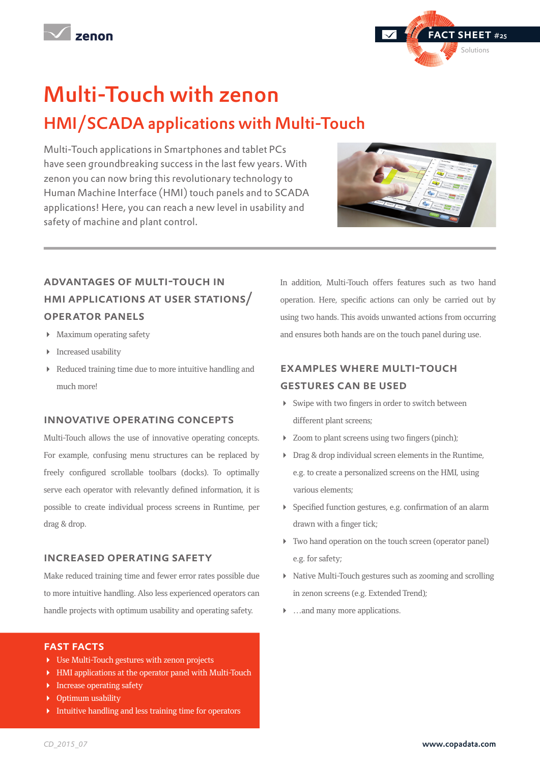Multi-Touch with zenon HMI/SCADA applications with Multi-Touch

Multi-Touch applications in Smartphones and tablet PCs have seen groundbreaking success in the last few years. With zenon you can now bring this revolutionary technology to Human Machine Interface (HMI) touch panels and to SCADA applications! Here, you can reach a new level in usability and safety of machine and plant control.

## advantages of multi-touch in hmi applications at user stations/ operator panels

- Maximum operating safety
- **Increased usability**
- Reduced training time due to more intuitive handling and much more!

#### innovative operating concepts

Multi-Touch allows the use of innovative operating concepts. For example, confusing menu structures can be replaced by freely configured scrollable toolbars (docks). To optimally serve each operator with relevantly defined information, it is possible to create individual process screens in Runtime, per drag & drop.

#### increased operating safety

Make reduced training time and fewer error rates possible due to more intuitive handling. Also less experienced operators can handle projects with optimum usability and operating safety.

#### fast facts

- Use Multi-Touch gestures with zenon projects
- HMI applications at the operator panel with Multi-Touch
- **Increase operating safety**
- **•** Optimum usability
- Intuitive handling and less training time for operators

In addition, Multi-Touch offers features such as two hand operation. Here, specific actions can only be carried out by using two hands. This avoids unwanted actions from occurring and ensures both hands are on the touch panel during use.

### examples where multi-touch gestures can be used

- Swipe with two fingers in order to switch between different plant screens;
- Zoom to plant screens using two fingers (pinch);
- **Drag & drop individual screen elements in the Runtime,** e.g. to create a personalized screens on the HMI, using various elements;
- Specified function gestures, e.g. confirmation of an alarm drawn with a finger tick;
- Two hand operation on the touch screen (operator panel) e.g. for safety;
- Native Multi-Touch gestures such as zooming and scrolling in zenon screens (e.g. Extended Trend);
- …and many more applications.